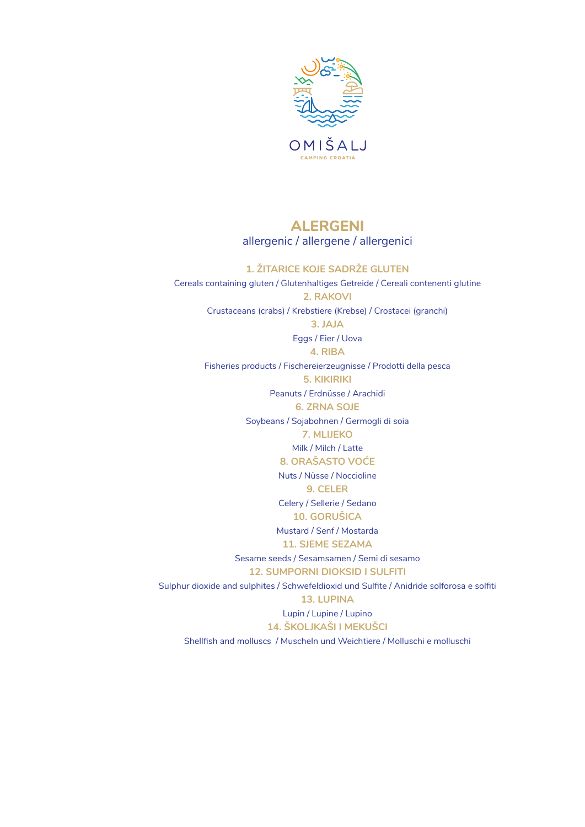

# **ALERGENI** allergenic / allergene / allergenici

#### **1. ŽITARICE KOJE SADRŽE GLUTEN**

Cereals containing gluten / Glutenhaltiges Getreide / Cereali contenenti glutine **2. RAKOVI**  Crustaceans (crabs) / Krebstiere (Krebse) / Crostacei (granchi) **3. JAJA** Eggs / Eier / Uova **4. RIBA** Fisheries products / Fischereierzeugnisse / Prodotti della pesca **5. KIKIRIKI** Peanuts / Erdnüsse / Arachidi **6. ZRNA SOJE** Soybeans / Sojabohnen / Germogli di soia **7. MLIJEKO**  Milk / Milch / Latte **8. ORAŠASTO VOĆE**  Nuts / Nüsse / Noccioline **9. CELER** Celery / Sellerie / Sedano **10. GORUŠICA** Mustard / Senf / Mostarda **11. SJEME SEZAMA**  Sesame seeds / Sesamsamen / Semi di sesamo **12. SUMPORNI DIOKSID I SULFITI** Sulphur dioxide and sulphites / Schwefeldioxid und Sulfite / Anidride solforosa e solfiti **13. LUPINA**  Lupin / Lupine / Lupino **14. ŠKOLJKAŠI I MEKUŠCI**  Shellfish and molluscs / Muscheln und Weichtiere / Molluschi e molluschi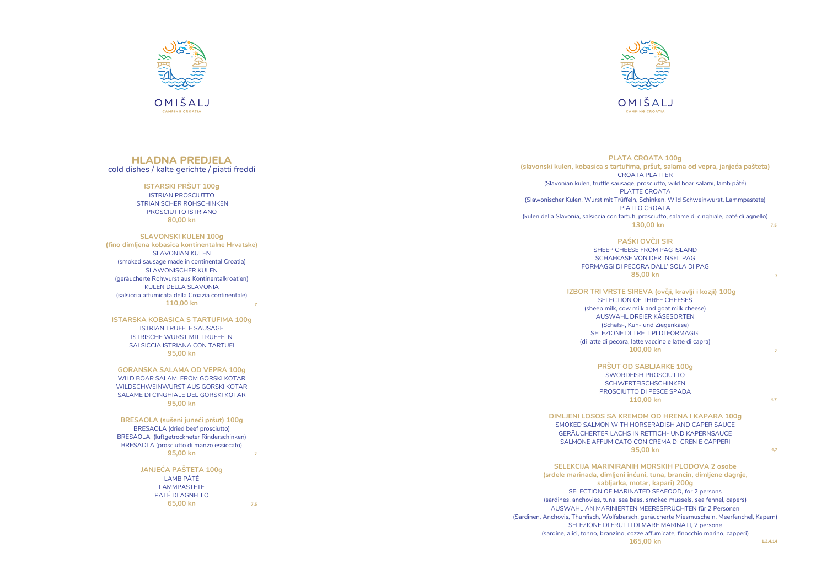# **HLADNA PREDJELA** cold dishes / kalte gerichte / piatti freddi

## **ISTARSKI PRŠUT 100g**

ISTRIAN PROSCIUTTO ISTRIANISCHER ROHSCHINKEN PROSCIUTTO ISTRIANO **80,00 kn**

#### **SLAVONSKI KULEN 100g**

#### **ISTARSKA KOBASICA S TARTUFIMA 100g**

ISTRIAN TRUFFLE SAUSAGE ISTRISCHE WURST MIT TRÜFFELN SALSICCIA ISTRIANA CON TARTUFI **95,00 kn**

#### **GORANSKA SALAMA OD VEPRA 100g**

WILD BOAR SALAMI FROM GORSKI KOTAR WILDSCHWEINWURST AUS GORSKI KOTAR SALAME DI CINGHIALE DEL GORSKI KOTAR **95,00 kn**

#### **BRESAOLA (sušeni juneći pršut) 100g**  BRESAOLA (dried beef prosciutto)

BRESAOLA (luftgetrockneter Rinderschinken) BRESAOLA (prosciutto di manzo essiccato) **95,00 kn**

#### **JANJEĆA PAŠTETA 100g** LAMB PÂTÉ

LAMMPASTETE PATÉ DI AGNELLO **65,00 kn**

**(fino dimljena kobasica kontinentalne Hrvatske)** SLAVONIAN KULEN (smoked sausage made in continental Croatia) SLAWONISCHER KULEN (geräucherte Rohwurst aus Kontinentalkroatien) KULEN DELLA SLAVONIA (salsiccia affumicata della Croazia continentale) **110,00 kn 7**

# **PLATA CROATA 100g (slavonski kulen, kobasica s tartufima, pršut, salama od vepra, janjeća pašteta)** CROATA PLATTER (Slavonian kulen, truffle sausage, prosciutto, wild boar salami, lamb pâté) PLATTE CROATA (Slawonischer Kulen, Wurst mit Trüffeln, Schinken, Wild Schweinwurst, Lammpastete) PIATTO CROATA (kulen della Slavonia, salsiccia con tartufi, prosciutto, salame di cinghiale, paté di agnello)  **130,00 kn PAŠKI OVČJI SIR** SHEEP CHEESE FROM PAG ISLAND SCHAFKÄSE VON DER INSEL PAG FORMAGGI DI PECORA DALL'ISOLA DI PAG **85,00 kn IZBOR TRI VRSTE SIREVA (ovčji, kravlji i kozji) 100g** SELECTION OF THREE CHEESES (sheep milk, cow milk and goat milk cheese) AUSWAHL DREIER KÄSESORTEN (Schafs-, Kuh- und Ziegenkäse) SELEZIONE DI TRE TIPI DI FORMAGGI (di latte di pecora, latte vaccino e latte di capra) **100,00 kn PRŠUT OD SABLJARKE 100g**  SWORDFISH PROSCIUTTO **SCHWERTFISCHSCHINKEN** PROSCIUTTO DI PESCE SPADA **110,00 kn DIMLJENI LOSOS SA KREMOM OD HRENA I KAPARA 100g**  SMOKED SALMON WITH HORSERADISH AND CAPER SAUCE GERÄUCHERTER LACHS IN RETTICH- UND KAPERNSAUCE SALMONE AFFUMICATO CON CREMA DI CREN E CAPPERI **95,00 kn 7,5 7 4,7 4, 7 7**



**SELEKCIJA MARINIRANIH MORSKIH PLODOVA 2 osobe (srdele marinada, dimljeni inćuni, tuna, brancin, dimljene dagnje, sabljarka, motar, kapari) 200g** SELECTION OF MARINATED SEAFOOD, for 2 persons (sardines, anchovies, tuna, sea bass, smoked mussels, sea fennel, capers) AUSWAHL AN MARINIERTEN MEERESFRÜCHTEN für 2 Personen (Sardinen, Anchovis, Thunfisch, Wolfsbarsch, geräucherte Miesmuscheln, Meerfenchel, Kapern) SELEZIONE DI FRUTTI DI MARE MARINATI, 2 persone (sardine, alici, tonno, branzino, cozze affumicate, finocchio marino, capperi)



**165,00 kn**

**7**



**7,5**

**1,2,4,14**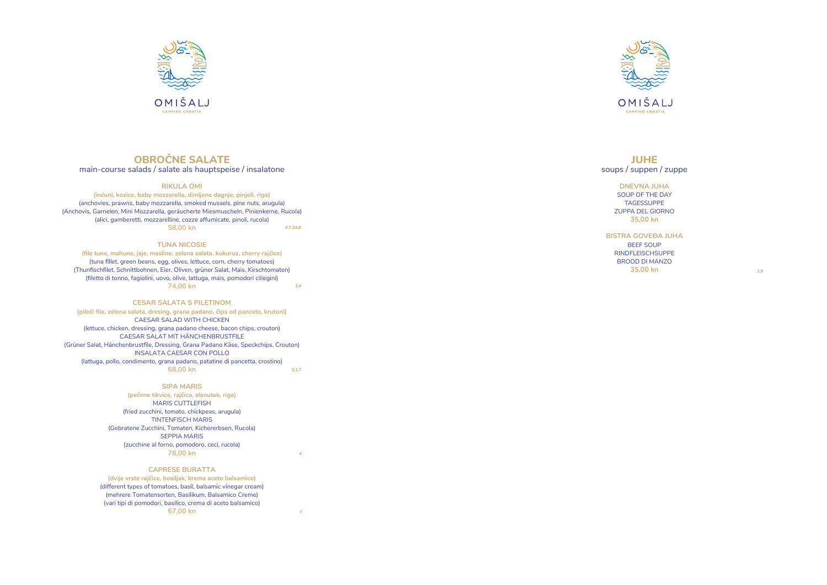

OMIŠAL.

# **OBROČNE SALATE**

# main-course salads / salate als hauptspeise / insalatone

#### **RIKULA OMI**

#### **TUNA NICOSIE**

**(file tune, mahune, jaje, masline, zelena salata, kukuruz, cherry rajčice)** (tuna fillet, green beans, egg, olives, lettuce, corn, cherry tomatoes ) (Thunfischfilet, Schnittbohnen, Eier, Oliven, grüner Salat, Mais, Kirschtomaten) (filetto di tonno, fagiolini, uovo, olive, lattuga, mais, pomodori ciliegini) **74,00 kn** 

#### **CESAR SALATA S PILETINOM**

**(inćuni, kozice, baby mozzarella, dimljene dagnje, pinjoli, riga)** (anchovies, prawns, baby mozzarella, smoked mussels, pine nuts, arugula) (Anchovis, Garnelen, Mini Mozzarella, geräucherte Miesmuscheln, Pinienkerne, Rucola) (alici, gamberetti, mozzarelline, cozze affumicate, pinoli, rucola) **58,00 kn 4,7,14,8**

#### **SIPA MARIS**

**(pečene tikvice, rajčica, slanutak, riga)**  MARIS CUTTLEFISH (fried zucchini, tomato, chickpeas, arugula) TINTENFISCH MARIS (Gebratene Zucchini, Tomaten, Kichererbsen, Rucola) SEPPIA MARIS (zucchine al forno, pomodoro, ceci, rucola) **78,00 kn**

**(pileći file, zelena salata, dresing, grana padano, čips od pancete, krutoni)** CAESAR SALAD WITH CHICKEN (lettuce, chicken, dressing, grana padano cheese, bacon chips, crouton) CAESAR SALAT MIT HÄNCHENBRUSTFILE (Grüner Salat, Hänchenbrustfile, Dressing, Grana Padano Käse, Speckchips, Crouton) INSALATA CAESAR CON POLLO (lattuga, pollo, condimento, grana padano, patatine di pancetta, crostino) **68,00 kn 3,1,7**

#### **CAPRESE BURATTA**

**(dvije vrste rajčice, bosiljak, krema aceto balsamico)** (different types of tomatoes, basil, balsamic vinegar cream) (mehrere Tomatensorten, Basilikum, Balsamico Creme) (vari tipi di pomodori, basilico, crema di aceto balsamico) **67,00 kn**

# **JUHE** soups / suppen / zuppe

**DNEVNA JUHA** SOUP OF THE DAY TAGESSUPPE ZUPPA DEL GIORNO **35,00 kn**

**BISTRA GOVEĐA JUHA** BEEF SOUP RINDFLEISCHSUPPE BROOD DI MANZO **35,00 kn**



 **3,4**

**4**

**7**

**1,9**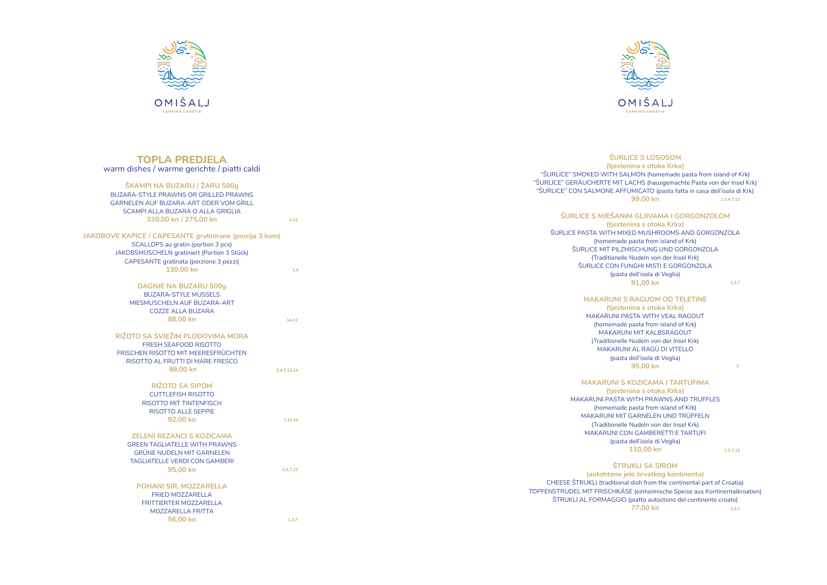

OMIŠALJ CAMPING CROATI



# **TOPLA PREDJELA** warm dishes / warme gerichte / piatti caldi

| ŠKAMPI NA BUZARU / ŽARU 500g                 |
|----------------------------------------------|
| <b>BUZARA-STYLE PRAWNS OR GRILLED PRAWNS</b> |
| GARNELEN AUF BUZARA-ART ODER VOM GRILL       |
| SCAMPI ALLA BUZARA O ALLA GRIGLIA            |
| 330,00 kn / 275,00 kn                        |

**56,00 kn**

# **ŠURLICE S LOSOSOM**

# **ŠURLICE S MJEŠANIM GLJIVAMA I GORGONZOLOM**

| <b>JAKOBOVE KAPICE / CAPESANTE gratinirane (porcija 3 kom)</b> |             |
|----------------------------------------------------------------|-------------|
| SCALLOPS au gratin (portion 3 pcs)                             |             |
| JAKOBSMUSCHELN gratiniert (Portion 3 Stück)                    |             |
| <b>CAPESANTE</b> gratinata (porzione 3 pezzi)                  |             |
| 130,00 kn                                                      | 1.4         |
|                                                                |             |
| <b>DAGNJE NA BUZARU 500g</b>                                   |             |
| <b>BUZARA-STYLE MUSSELS</b>                                    |             |
| MIESMUSCHELN AUF BUZARA-ART                                    |             |
| <b>COZZE ALLA BUZARA</b>                                       |             |
| 88,00 kn                                                       | 14,12       |
| RIŽOTO SA SVJEŽIM PLODOVIMA MORA                               |             |
| FRESH SEAFOOD RISOTTO                                          |             |
| FRISCHEN RISOTTO MIT MEERESFRÜCHTEN                            |             |
| RISOTTO AL FRUTTI DI MARE FRESCO                               |             |
| 98,00 kn                                                       |             |
|                                                                | 2,4,7,12,14 |
| <b>RIŽOTO SA SIPOM</b>                                         |             |
| <b>CUTTLEFISH RISOTTO</b>                                      |             |
| <b>RISOTTO MIT TINTENFISCH</b>                                 |             |
| <b>RISOTTO ALLE SEPPIE</b>                                     |             |
| 92,00 kn                                                       | 7,12,14     |
|                                                                |             |
| <b>ZELENI REZANCI S KOZICAMA</b>                               |             |
| <b>GREEN TAGLIATELLE WITH PRAWNS</b>                           |             |
| <b>GRÜNE NUDELN MIT GARNELEN</b>                               |             |
| <b>TAGLIATELLE VERDI CON GAMBERI</b>                           |             |
| 95,00 kn                                                       | 1, 2, 7, 12 |
|                                                                |             |
| POHANI SIR, MOZZARELLA                                         |             |
| FRIED MOZZARELLA                                               |             |
| <b>FRITTIERTER MOZZARELLA</b>                                  |             |
| MOZZARELLA FRITTA                                              |             |

#### **MAKARUNI S RAGUOM OD TELETINE (tjestenina s otoka Krka)** MAKARUNI PASTA WITH VEAL RAGOUT

**(tjestenina s otoka Krka)**  "ŠURLICE" SMOKED WITH SALMON (homemade pasta from island of Krk) "ŠURLICE" GERÄUCHERTE MIT LACHS (hausgemachte Pasta von der Insel Krk) "ŠURLICE" CON SALMONE AFFUMICATO (pasta fatta in casa dell'isola di Krk) **99,00 kn 1,3,4,7,12**

> (homemade pasta from island of Krk) MAKARUNI MIT KALBSRAGOUT (Traditionelle Nudeln von der Insel Krk) MAKARUNI AL RAGÙ DI VITELLO (pasta dell'isola di Veglia) **95,00 kn**

# **MAKARUNI S KOZICAMA I TARTUFIMA**

**(tjestenina s otoka Krka)** ŠURLICE PASTA WITH MIXED MUSHROOMS AND GORGONZOLA (homemade pasta from island of Krk) ŠURLICE MIT PILZMISCHUNG UND GORGONZOLA (Traditionelle Nudeln von der Insel Krk) ŠURLICE CON FUNGHI MISTI E GORGONZOLA (pasta dell'isola di Veglia) **91,00 kn 1,3,7**

> **(tjestenina s otoka Krka)** MAKARUNI PASTA WITH PRAWNS AND TRUFFLES (homemade pasta from island of Krk) MAKARUNI MIT GARNELEN UND TRÜFFELN (Traditionelle Nudeln von der Insel Krk) MAKARUNI CON GAMBERETTI E TARTUFI (pasta dell'isola di Veglia) **110,00 kn**

#### **ŠTRUKLI SA SIROM**

**(autohtono jelo hrvatkog kontinenta)** CHEESE ŠTRUKLI (traditional dish from the continental part of Croatia) TOPFENSTRUDEL MIT FRISCHKÄSE (einheimische Speise aus Kontinentalkroatien) ŠTRUKLI AL FORMAGGIO (piatto autoctono del continente croato) **77,00 kn 1,3,7**

**2,12**

**1,3,7**

**1,2,7,12**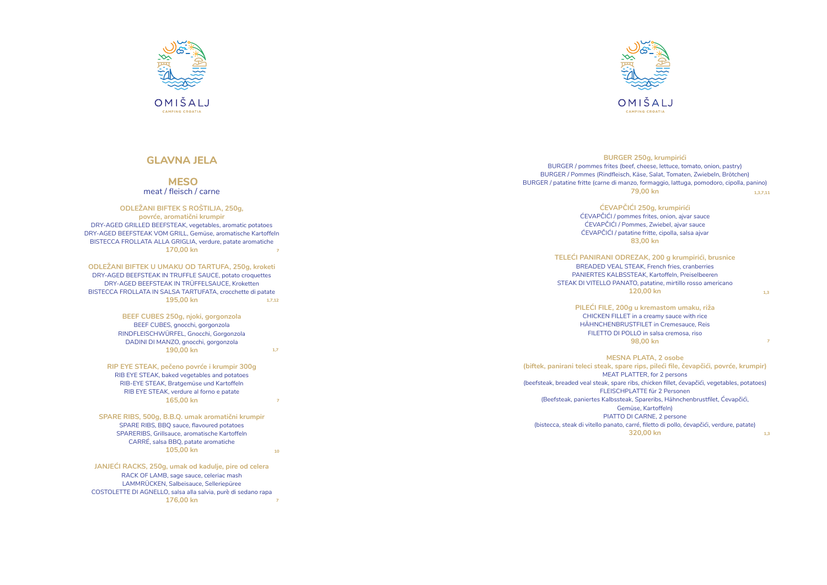# **MESO** meat / fleisch / carne

# **ODLEŽANI BIFTEK S ROŠTILJA, 250g,**

# **ODLEŽANI BIFTEK U UMAKU OD TARTUFA, 250g, kroketi**

**BEEF CUBES 250g, njoki, gorgonzola** BEEF CUBES, gnocchi, gorgonzola RINDFLEISCHWÜRFEL, Gnocchi, Gorgonzola DADINI DI MANZO, gnocchi, gorgonzola **190,00 kn**

# **RIP EYE STEAK, pečeno povrće i krumpir 300g**  RIB EYE STEAK, baked vegetables and potatoes RIB-EYE STEAK, Bratgemüse und Kartoffeln RIB EYE STEAK, verdure al forno e patate

**165,00 kn**

#### **SPARE RIBS, 500g, B.B.Q. umak aromatični krumpir** SPARE RIBS, BBQ sauce, flavoured potatoes SPARERIBS, Grillsauce, aromatische Kartoffeln CARRÉ, salsa BBQ, patate aromatiche **105,00 kn**

**povrće, aromatični krumpir** DRY-AGED GRILLED BEEFSTEAK, vegetables, aromatic potatoes DRY-AGED BEEFSTEAK VOM GRILL, Gemüse, aromatische Kartoffeln BISTECCA FROLLATA ALLA GRIGLIA, verdure, patate aromatiche **170,00 kn 7**

DRY-AGED BEEFSTEAK IN TRUFFLE SAUCE, potato croquettes DRY-AGED BEEFSTEAK IN TRÜFFELSAUCE, Kroketten BISTECCA FROLLATA IN SALSA TARTUFATA, crocchette di patate **195,00 kn 1,7,12**

**JANJEĆI RACKS, 250g, umak od kadulje, pire od celera**  RACK OF LAMB, sage sauce, celeriac mash LAMMRÜCKEN, Salbeisauce, Selleriepüree COSTOLETTE DI AGNELLO, salsa alla salvia, purè di sedano rapa **176,00 kn 7**



# BURGER / pommes frites (beef, cheese, lettuce, tomato, onion, pastry) BURGER / Pommes (Rindfleisch, Käse, Salat, Tomaten, Zwiebeln, Brötchen) BURGER / patatine fritte (carne di manzo, formaggio, lattuga, pomodoro, cipolla, panino) **TELEĆI PANIRANI ODREZAK, 200 g krumpirići, brusnice (biftek, panirani teleci steak, spare rips, pileći file, čevapčići, povrće, krumpir)** (beefsteak, breaded veal steak, spare ribs, chicken fillet, ćevapčići, vegetables, potatoes) (Beefsteak, paniertes Kalbssteak, Spareribs, Hähnchenbrustfilet, Ćevapčići, (bistecca, steak di vitello panato, carré, filetto di pollo, ćevapčići, verdure, patate)



# **ĆEVAPČIĆI 250g, krumpirići**  ĆEVAPČIĆI / pommes frites, onion, ajvar sauce ĆEVAPČIĆI / Pommes, Zwiebel, ajvar sauce ĆEVAPČIĆI / patatine fritte, cipolla, salsa ajvar BREADED VEAL STEAK, French fries, cranberries PANIERTES KALBSSTEAK, Kartoffeln, Preiselbeeren STEAK DI VITELLO PANATO, patatine, mirtillo rosso americano **PILEĆI FILE, 200g u kremastom umaku, riža**  CHICKEN FILLET in a creamy sauce with rice HÄHNCHENBRUSTFILET in Cremesauce, Reis FILETTO DI POLLO in salsa cremosa, riso FLEISCHPLATTE für 2 Personen



# **BURGER 250g, krumpirići 79,00 kn 83,00 kn 120,00 kn 98,00 kn MESNA PLATA, 2 osobe**  MEAT PLATTER, for 2 persons Gemüse, Kartoffeln) PIATTO DI CARNE, 2 persone **320,00 kn 1,3,7,11 1,3 7 1,3**

**1,7**

**7**

# **GLAVNA JELA**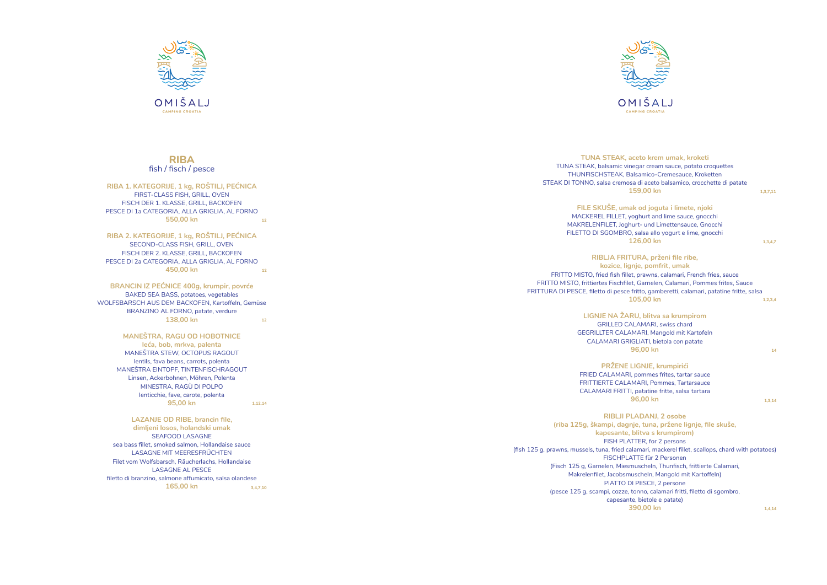FRITTO MISTO, frittiertes Fischfilet, Garnelen, Calamari, Pommes frites, Sauce

FRITTURA DI PESCE, filetto di pesce fritto, gamberetti, calamari, patatine fritte, salsa (fish 125 g, prawns, mussels, tuna, fried calamari, mackerel fillet, scallops, chard with potatoes)





**TUNA STEAK, aceto krem umak, kroketi**  TUNA STEAK, balsamic vinegar cream sauce, potato croquettes THUNFISCHSTEAK, Balsamico-Cremesauce, Kroketten STEAK DI TONNO, salsa cremosa di aceto balsamico, crocchette di patate **159,00 kn FILE SKUŠE, umak od joguta i limete, njoki**  MACKEREL FILLET, yoghurt and lime sauce, gnocchi MAKRELENFILET, Joghurt- und Limettensauce, Gnocchi FILETTO DI SGOMBRO, salsa allo yogurt e lime, gnocchi **126,00 kn RIBLJA FRITURA, prženi file ribe, kozice, lignje, pomfrit, umak** FRITTO MISTO, fried fish fillet, prawns, calamari, French fries, sauce **105,00 kn LIGNJE NA ŽARU, blitva sa krumpirom**  GRILLED CALAMARI, swiss chard GEGRILLTER CALAMARI, Mangold mit Kartofeln CALAMARI GRIGLIATI, bietola con patate **96,00 kn PRŽENE LIGNJE, krumpirići** FRIED CALAMARI, pommes frites, tartar sauce FRITTIERTE CALAMARI, Pommes, Tartarsauce CALAMARI FRITTI, patatine fritte, salsa tartara **96,00 kn RIBLJI PLADANJ, 2 osobe (riba 125g, škampi, dagnje, tuna, pržene lignje, file skuše, kapesante, blitva s krumpirom)** FISH PLATTER, for 2 persons FISCHPLATTE für 2 Personen (Fisch 125 g, Garnelen, Miesmuscheln, Thunfisch, frittierte Calamari, Makrelenfilet, Jacobsmuscheln, Mangold mit Kartoffeln) PIATTO DI PESCE, 2 persone (pesce 125 g, scampi, cozze, tonno, calamari fritti, filetto di sgombro, capesante, bietole e patate) **390,00 kn 1,3,7,11 1,3,4,7 1,2,3,4 14 1,3,14 1,4,14**

# **RIBA** fish / fisch / pesce

**RIBA 1. KATEGORIJE, 1 kg, ROŠTILJ, PEĆNICA**  FIRST-CLASS FISH, GRILL, OVEN FISCH DER 1. KLASSE, GRILL, BACKOFEN PESCE DI 1a CATEGORIA, ALLA GRIGLIA, AL FORNO **550,00 kn 12**

#### **MANEŠTRA, RAGU OD HOBOTNICE leća, bob, mrkva, palenta**

**RIBA 2. KATEGORIJE, 1 kg, ROŠTILJ, PEĆNICA**  SECOND-CLASS FISH, GRILL, OVEN FISCH DER 2. KLASSE, GRILL, BACKOFEN PESCE DI 2a CATEGORIA, ALLA GRIGLIA, AL FORNO **450,00 kn 12**

MANEŠTRA STEW, OCTOPUS RAGOUT lentils, fava beans, carrots, polenta MANEŠTRA EINTOPF, TINTENFISCHRAGOUT Linsen, Ackerbohnen, Möhren, Polenta MINESTRA, RAGÙ DI POLPO lenticchie, fave, carote, polenta **95,00 kn**

**BRANCIN IZ PEĆNICE 400g, krumpir, povrće** BAKED SEA BASS, potatoes, vegetables WOLFSBARSCH AUS DEM BACKOFEN, Kartoffeln, Gemüse BRANZINO AL FORNO, patate, verdure **138,00 kn 12**

**LAZANJE OD RIBE, brancin file,** 

**dimljeni losos, holandski umak** SEAFOOD LASAGNE sea bass fillet, smoked salmon, Hollandaise sauce LASAGNE MIT MEERESFRÜCHTEN Filet vom Wolfsbarsch, Räucherlachs, Hollandaise LASAGNE AL PESCE filetto di branzino, salmone affumicato, salsa olandese **165,00 kn 3,4,7,10**

**1,12,14**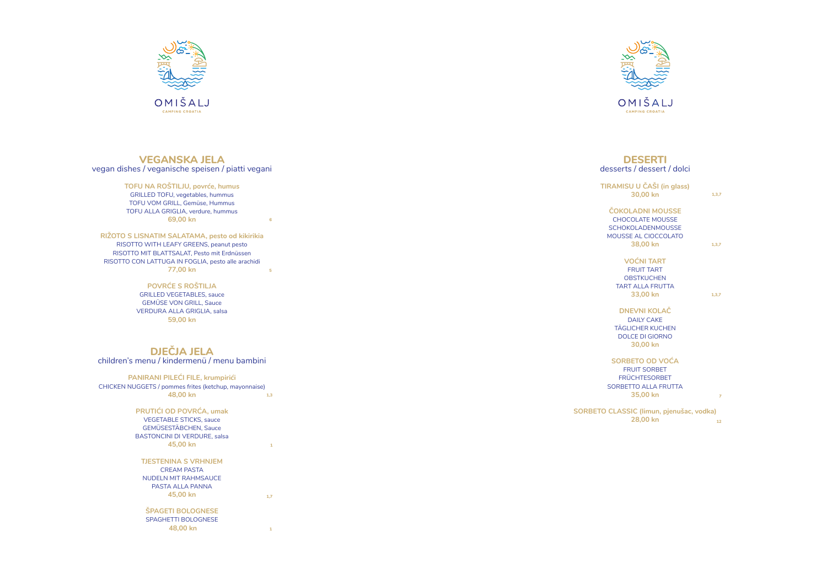

# **VEGANSKA JELA** vegan dishes / veganische speisen / piatti vegani

# **TOFU NA ROŠTILJU, povrće, humus**

GRILLED TOFU, vegetables, hummus TOFU VOM GRILL, Gemüse, Hummus TOFU ALLA GRIGLIA, verdure, hummus **69,00 kn**

**POVRĆE S ROŠTILJA**  GRILLED VEGETABLES, sauce GEMÜSE VON GRILL, Sauce VERDURA ALLA GRIGLIA, salsa **59,00 kn**

**DJEČJA JELA**

children's menu / kindermenü / menu bambini

**SORBETO CLASS** 



OMIŠALJ CAMPING CROATIA

#### **PANIRANI PILEĆI FILE, krumpirići**  CHICKEN NUGGETS / pommes frites (ketchup, mayonnaise)

**RIŽOTO S LISNATIM SALATAMA, pesto od kikirikia**  RISOTTO WITH LEAFY GREENS, peanut pesto RISOTTO MIT BLATTSALAT, Pesto mit Erdnüssen RISOTTO CON LATTUGA IN FOGLIA, pesto alle arachidi **77,00 kn 5**

**TJESTENINA S VRHNJEM** 

CREAM PASTA NUDELN MIT RAHMSAUCE PASTA ALLA PANNA **45,00 kn**

**ŠPAGETI BOLOGNESE**  SPAGHETTI BOLOGNESE

 **48,00 kn** 

# **DESERTI** desserts / dessert / dolci

**48,00 kn PRUTIĆI OD POVRĆA, umak**  VEGETABLE STICKS, sauce GEMÜSESTÄBCHEN, Sauce BASTONCINI DI VERDURE, salsa **45,00 kn 1,3**

| TIRAMISU U ČAŠI (in glass)<br>30,00 kn                                                                             | 1, 3, 7 |
|--------------------------------------------------------------------------------------------------------------------|---------|
| ČOKOLADNI MOUSSE<br><b>CHOCOLATE MOUSSE</b><br><b>SCHOKOLADENMOUSSE</b><br><b>MOUSSE AL CIOCCOLATO</b><br>38,00 kn | 1, 3, 7 |
| <b>VOĆNI TART</b><br><b>FRUIT TART</b><br><b>OBSTKUCHEN</b><br><b>TART ALLA FRUTTA</b><br>33,00 kn                 | 1,3,7   |
| <b>DNEVNI KOLAČ</b><br><b>DAILY CAKE</b><br><b>TÄGLICHER KUCHEN</b><br><b>DOLCE DI GIORNO</b><br>30,00 kn          |         |
| SORBETO OD VOĆA<br><b>FRUIT SORBET</b><br><b>FRÜCHTESORBET</b><br><b>SORBETTO ALLA FRUTTA</b><br>35.00 kn          | 7       |
| TO CLASSIC (limun, pjenušac, vodka)<br>28,00 kn                                                                    | 12      |

**6**

**1**

**1,7**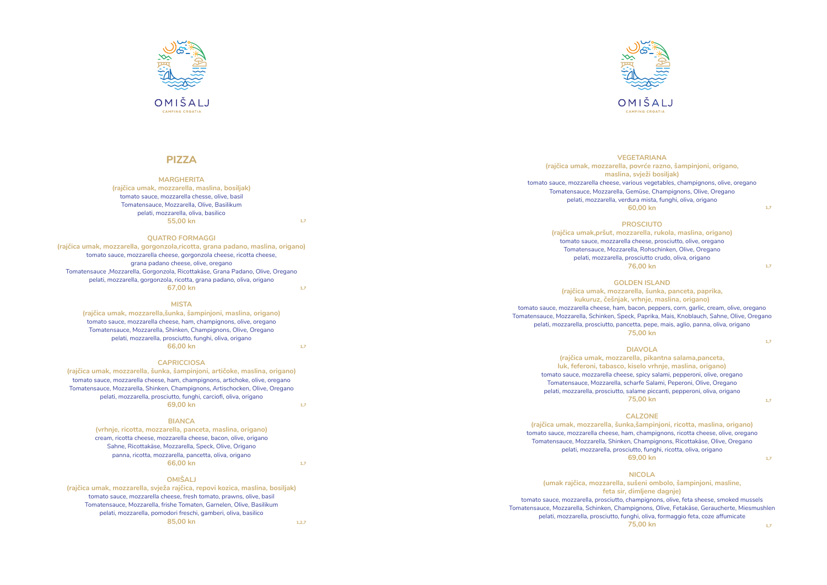

# **PIZZA**

#### **MARGHERITA**

**(rajčica umak, mozzarella, maslina, bosiljak)** tomato sauce, mozzarella chesse, olive, basil Tomatensauce, Mozzarella, Olive, Basilikum pelati, mozzarella, oliva, basilico **55,00 kn**

#### **QUATRO FORMAGGI**

#### **MISTA**

**(rajčica umak, mozzarella,šunka, šampinjoni, maslina, origano)** tomato sauce, mozzarella cheese, ham, champignons, olive, oregano Tomatensauce, Mozzarella, Shinken, Champignons, Olive, Oregano pelati, mozzarella, prosciutto, funghi, oliva, origano **66,00 kn**

#### **CAPRICCIOSA**

## **BIANCA**

**(vrhnje, ricotta, mozzarella, panceta, maslina, origano)** cream, ricotta cheese, mozzarella cheese, bacon, olive, origano Sahne, Ricottakäse, Mozzarella, Speck, Olive, Origano panna, ricotta, mozzarella, pancetta, oliva, origano **66,00 kn**

### **OMIŠALJ**

**(rajčica umak, mozzarella, gorgonzola,ricotta, grana padano, maslina, origano)** tomato sauce, mozzarella cheese, gorgonzola cheese, ricotta cheese, grana padano cheese, olive, oregano Tomatensauce ,Mozzarella, Gorgonzola, Ricottakäse, Grana Padano, Olive, Oregano pelati, mozzarella, gorgonzola, ricotta, grana padano, oliva, origano **67,00 kn 1,7**

**(rajčica umak, mozzarella, šunka, šampinjoni, artičoke, maslina, origano)** tomato sauce, mozzarella cheese, ham, champignons, artichoke, olive, oregano Tomatensauce, Mozzarella, Shinken, Champignons, Artischocken, Olive, Oregano pelati, mozzarella, prosciutto, funghi, carciofi, oliva, origano **69,00 kn 1,7**

**(rajčica umak, mozzarella, svježa rajčica, repovi kozica, maslina, bosiljak)** tomato sauce, mozzarella cheese, fresh tomato, prawns, olive, basil Tomatensauce, Mozzarella, frishe Tomaten, Garnelen, Olive, Basilikum pelati, mozzarella, pomodori freschi, gamberi, oliva, basilico **85,00 kn 1,2,7**



#### **VEGETARIANA (rajčica umak, mozzarella, povrće razno, šampinjoni, origano, maslina, svježi bosiljak)** tomato sauce, mozzarella cheese, various vegetables, champignons, olive, oregano Tomatensauce, Mozzarella, Gemüse, Champignons, Olive, Oregano pelati, mozzarella, verdura mista, funghi, oliva, origano **60,00 kn PROSCIUTO (rajčica umak,pršut, mozzarella, rukola, maslina, origano)** tomato sauce, mozzarella cheese, prosciutto, olive, oregano Tomatensauce, Mozzarella, Rohschinken, Olive, Oregano pelati, mozzarella, prosciutto crudo, oliva, origano **76,00 kn GOLDEN ISLAND (rajčica umak, mozzarella, šunka, panceta, paprika, kukuruz, češnjak, vrhnje, maslina, origano)** tomato sauce, mozzarella cheese, ham, bacon, peppers, corn, garlic, cream, olive, oregano Tomatensauce, Mozzarella, Schinken, Speck, Paprika, Mais, Knoblauch, Sahne, Olive, Oregano pelati, mozzarella, prosciutto, pancetta, pepe, mais, aglio, panna, oliva, origano **75,00 kn DIAVOLA (rajčica umak, mozzarella, pikantna salama,panceta, luk, feferoni, tabasco, kiselo vrhnje, maslina, origano)** tomato sauce, mozzarella cheese, spicy salami, pepperoni, olive, oregano Tomatensauce, Mozzarella, scharfe Salami, Peperoni, Olive, Oregano pelati, mozzarella, prosciutto, salame piccanti, pepperoni, oliva, origano **75,00 kn CALZONE (rajčica umak, mozzarella, šunka,šampinjoni, ricotta, maslina, origano)** tomato sauce, mozzarella cheese, ham, champignons, ricotta cheese, olive, oregano Tomatensauce, Mozzarella, Shinken, Champignons, Ricottakäse, Olive, Oregano pelati, mozzarella, prosciutto, funghi, ricotta, oliva, origano **69,00 kn NICOLA (umak rajčica, mozzarella, sušeni ombolo, šampinjoni, masline, feta sir, dimljene dagnje)** tomato sauce, mozzarella, prosciutto, champignons, olive, feta sheese, smoked mussels Tomatensauce, Mozzarella, Schinken, Champignons, Olive, Fetakäse, Geraucherte, Miesmushlen pelati, mozzarella, prosciutto, funghi, oliva, formaggio feta, coze affumicate **75,00 kn 1,7 1,7 1,7 1,7 1,7 1,7**

**1,7**

**1,7**

**1,7**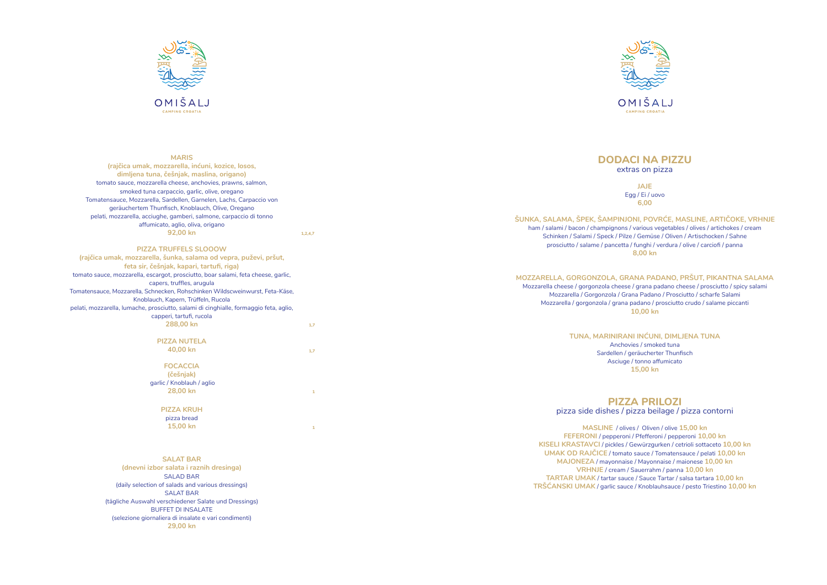

#### **MARIS**

**(rajčica umak, mozzarella, inćuni, kozice, losos, dimljena tuna, češnjak, maslina, origano)** tomato sauce, mozzarella cheese, anchovies, prawns, salmon, smoked tuna carpaccio, garlic, olive, oregano Tomatensauce, Mozzarella, Sardellen, Garnelen, Lachs, Carpaccio von geräuchertem Thunfisch, Knoblauch, Olive, Oregano pelati, mozzarella, acciughe, gamberi, salmone, carpaccio di tonno affumicato, aglio, oliva, origano **92,00 kn**

#### **PIZZA TRUFFELS SLOOOW**

**(rajčica umak, mozzarella, šunka, salama od vepra, puževi, pršut, feta sir, češnjak, kapari, tartufi, riga)** tomato sauce, mozzarella, escargot, prosciutto, boar salami, feta cheese, garlic, capers, truffles, arugula Tomatensauce, Mozzarella, Schnecken, Rohschinken Wildscweinwurst, Feta-Käse, Knoblauch, Kapern, Trüffeln, Rucola pelati, mozzarella, lumache, prosciutto, salami di cinghialle, formaggio feta, aglio, capperi, tartufi, rucola **288,00 kn**

> **PIZZA NUTELA 40,00 kn**

> > **FOCACCIA**

**(češnjak)** garlic / Knoblauh / aglio **28,00 kn**

# **PIZZA KRUH**

pizza bread **15,00 kn**

#### **SALAT BAR**

**(dnevni izbor salata i raznih dresinga)** SALAD BAR (daily selection of salads and various dressings) SALAT BAR (tägliche Auswahl verschiedener Salate und Dressings) BUFFET DI INSALATE (selezione giornaliera di insalate e vari condimenti) **29,00 kn**

# **DODACI NA PIZZU** extras on pizza

**JAJE**  Egg / Ei / uovo **6,00** 

# **ŠUNKA, SALAMA, ŠPEK, ŠAMPINJONI, POVRĆE, MASLINE, ARTIČOKE, VRHNJE** ham / salami / bacon / champignons / various vegetables / olives / artichokes / cream Schinken / Salami / Speck / Pilze / Gemüse / Oliven / Artischocken / Sahne prosciutto / salame / pancetta / funghi / verdura / olive / carciofi / panna

**8,00 kn**

# **MOZZARELLA, GORGONZOLA, GRANA PADANO, PRŠUT, PIKANTNA SALAMA**

Mozzarella cheese / gorgonzola cheese / grana padano cheese / prosciutto / spicy salami Mozzarella / Gorgonzola / Grana Padano / Prosciutto / scharfe Salami Mozzarella / gorgonzola / grana padano / prosciutto crudo / salame piccanti **10,00 kn**

# **TUNA, MARINIRANI INĆUNI, DIMLJENA TUNA**

Anchovies / smoked tuna Sardellen / geräucherter Thunfisch Asciuge / tonno affumicato **15,00 kn**

# **PIZZA PRILOZI** pizza side dishes / pizza beilage / pizza contorni

**MASLINE** / olives / Oliven / olive **15,00 kn FEFERONI** / pepperoni / Pfefferoni / pepperoni **10,00 kn KISELI KRASTAVCI** / pickles / Gewürzgurken / cetrioli sottaceto **10,00 kn UMAK OD RAJČICE** / tomato sauce / Tomatensauce / pelati **10,00 kn MAJONEZA** / mayonnaise / Mayonnaise / maionese **10,00 kn VRHNJE** / cream / Sauerrahm / panna **10,00 kn TARTAR UMAK** / tartar sauce / Sauce Tartar / salsa tartara **10,00 kn TRŠĆANSKI UMAK** / garlic sauce / Knoblauhsauce / pesto Triestino **10,00 kn**





**1,2,4,7**

**1,7**

**1,7**

**1**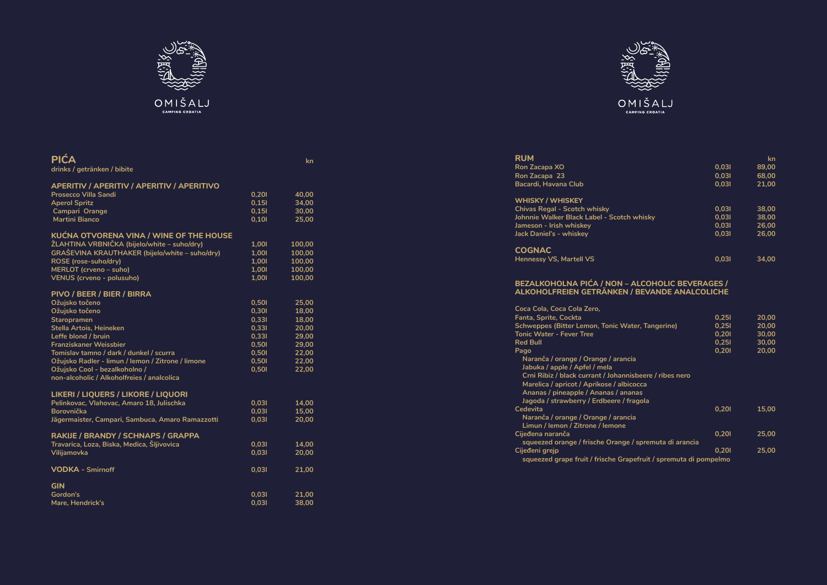| <b>RUM</b>                                 |       | kn           |
|--------------------------------------------|-------|--------------|
| Ron Zacapa XO                              | 0.031 | 89,00        |
| Ron Zacapa 23                              | 0.031 | 68,00        |
| Bacardi, Havana Club                       | 0,031 | 21,00        |
| <b>WHISKY / WHISKEY</b>                    |       |              |
| <b>Chivas Regal - Scotch whisky</b>        | 0.031 | 38,00        |
| Johnnie Walker Black Label - Scotch whisky | 0.031 | 38,00        |
| Jameson - Irish whiskey                    | 0.031 | 26,00        |
| Jack Daniel's - whiskey                    | 0.031 | 26,00        |
| <b>COGNAC</b>                              |       |              |
| $112222221110$ Montall $100$               | ורח ח | <b>24.00</b> |

| <b>RUM</b>                  |  |
|-----------------------------|--|
| <b>Ron Zacapa XO</b>        |  |
| Ron Zacapa 23               |  |
| <b>Bacardi, Havana Club</b> |  |
|                             |  |
| <b>WHISKY / WHISKEY</b>     |  |

# **COGNAC**

**Hennessy VS, Martell VS** 

# **BEZALKOHOLNA PIĆA / NON – ALCOHOLIC BEVERAGES / ALKOHOLFREIEN GETRÄNKEN / BEVANDE ANALCOLICHE**



OMIŠALJ CAMPING CROATIA

| Coca Cola, Coca Cola Zero,                                                                                                                                                                                                                                       |       |       |
|------------------------------------------------------------------------------------------------------------------------------------------------------------------------------------------------------------------------------------------------------------------|-------|-------|
| <b>Fanta, Sprite, Cockta</b>                                                                                                                                                                                                                                     | 0.251 | 20,00 |
| Schweppes (Bitter Lemon, Tonic Water, Tangerine)                                                                                                                                                                                                                 | 0,251 | 20,00 |
| <b>Tonic Water - Fever Tree</b>                                                                                                                                                                                                                                  | 0,201 | 30,00 |
| <b>Red Bull</b>                                                                                                                                                                                                                                                  | 0,251 | 30,00 |
| Pago                                                                                                                                                                                                                                                             | 0,201 | 20,00 |
| Naranča / orange / Orange / arancia<br>Jabuka / apple / Apfel / mela<br>Crni Ribiz / black currant / Johannisbeere / ribes nero<br>Marelica / apricot / Aprikose / albicocca<br>Ananas / pineapple / Ananas / ananas<br>Jagoda / strawberry / Erdbeere / fragola |       |       |
| Cedevita                                                                                                                                                                                                                                                         | 0.201 | 15.00 |
| Naranča / orange / Orange / arancia<br>Limun / lemon / Zitrone / lemone                                                                                                                                                                                          |       |       |
| Cijeđena naranča<br>squeezed orange / frische Orange / spremuta di arancia                                                                                                                                                                                       | 0.201 | 25,00 |
| Cijeđeni grejp<br>squeezed grape fruit / frische Grapefruit / spremuta di pompelmo                                                                                                                                                                               | 0.201 | 25,00 |
|                                                                                                                                                                                                                                                                  |       |       |



| <b>PICA</b><br>drinks / getränken / bibite        |       | kn     |
|---------------------------------------------------|-------|--------|
| <b>APERITIV / APERITIV / APERITIV / APERITIVO</b> |       |        |
| Prosecco Villa Sandi                              | 0,201 | 40,00  |
| <b>Aperol Spritz</b>                              | 0,151 | 34,00  |
| Campari Orange                                    | 0,151 | 30,00  |
| <b>Martini Bianco</b>                             | 0,101 | 25,00  |
| <b>KUĆNA OTVORENA VINA / WINE OF THE HOUSE</b>    |       |        |
| ŽLAHTINA VRBNIČKA (bijelo/white – suho/dry)       | 1,001 | 100,00 |
| GRAŠEVINA KRAUTHAKER (bijelo/white - suho/dry)    | 1,001 | 100,00 |
| ROSE (rose-suho/dry)                              | 1,001 | 100,00 |
| <b>MERLOT</b> (crveno - suho)                     | 1,001 | 100,00 |
| <b>VENUS (crveno - polusuho)</b>                  | 1,001 | 100,00 |
| PIVO / BEER / BIER / BIRRA                        |       |        |
| Ožujsko točeno                                    | 0,501 | 25,00  |
| Ožujsko točeno                                    | 0,301 | 18,00  |
| <b>Staropramen</b>                                | 0,331 | 18,00  |
| Stella Artois, Heineken                           | 0,331 | 20,00  |
| Leffe blond / bruin                               | 0,331 | 29,00  |
| <b>Franziskaner Weissbier</b>                     | 0,501 | 29,00  |
| Tomislav tamno / dark / dunkel / scurra           | 0,501 | 22,00  |
| Ožujsko Radler - limun / lemon / Zitrone / limone | 0,501 | 22,00  |
| Ožujsko Cool - bezalkoholno /                     | 0,501 | 22,00  |
| non-alcoholic / Alkoholfreies / analcolica        |       |        |
| LIKERI / LIQUERS / LIKORE / LIQUORI               |       |        |
| Pelinkovac, Vlahovac, Amaro 18, Julischka         | 0,031 | 14,00  |
| <b>Borovnička</b>                                 | 0,031 | 15,00  |
| Jägermaister, Campari, Sambuca, Amaro Ramazzotti  | 0,031 | 20,00  |
| RAKIJE / BRANDY / SCHNAPS / GRAPPA                |       |        |
| Travarica, Loza, Biska, Medica, Šljivovica        | 0,031 | 14,00  |
| Vilijamovka                                       | 0,031 | 20,00  |
| <b>VODKA - Smirnoff</b>                           | 0,031 | 21,00  |
| <b>GIN</b>                                        |       |        |
|                                                   |       |        |

# **Gordon's 0,03l 21,00 Mare, Hendrick's 0,03l 38,00**